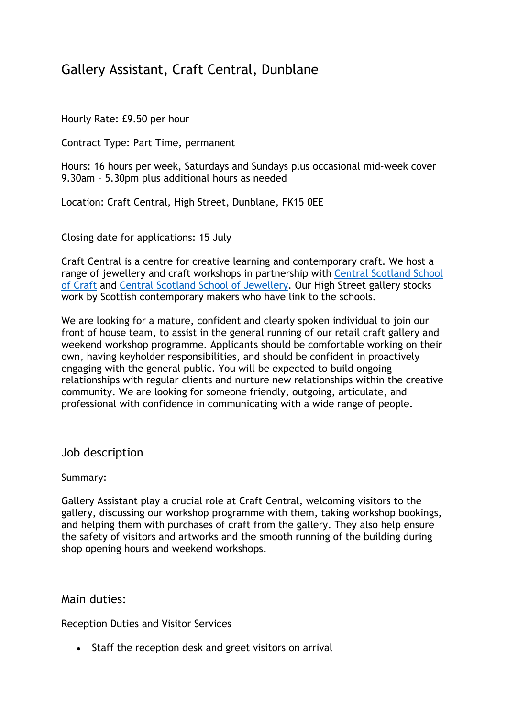# Gallery Assistant, Craft Central, Dunblane

Hourly Rate: £9.50 per hour

Contract Type: Part Time, permanent

Hours: 16 hours per week, Saturdays and Sundays plus occasional mid-week cover 9.30am – 5.30pm plus additional hours as needed

Location: Craft Central, High Street, Dunblane, FK15 0EE

Closing date for applications: 15 July

Craft Central is a centre for creative learning and contemporary craft. We host a range of jewellery and craft workshops in partnership with Central Scotland School of Craft and Central Scotland School of Jewellery. Our High Street gallery stocks work by Scottish contemporary makers who have link to the schools.

We are looking for a mature, confident and clearly spoken individual to join our front of house team, to assist in the general running of our retail craft gallery and weekend workshop programme. Applicants should be comfortable working on their own, having keyholder responsibilities, and should be confident in proactively engaging with the general public. You will be expected to build ongoing relationships with regular clients and nurture new relationships within the creative community. We are looking for someone friendly, outgoing, articulate, and professional with confidence in communicating with a wide range of people.

Job description

Summary:

Gallery Assistant play a crucial role at Craft Central, welcoming visitors to the gallery, discussing our workshop programme with them, taking workshop bookings, and helping them with purchases of craft from the gallery. They also help ensure the safety of visitors and artworks and the smooth running of the building during shop opening hours and weekend workshops.

Main duties:

Reception Duties and Visitor Services

• Staff the reception desk and greet visitors on arrival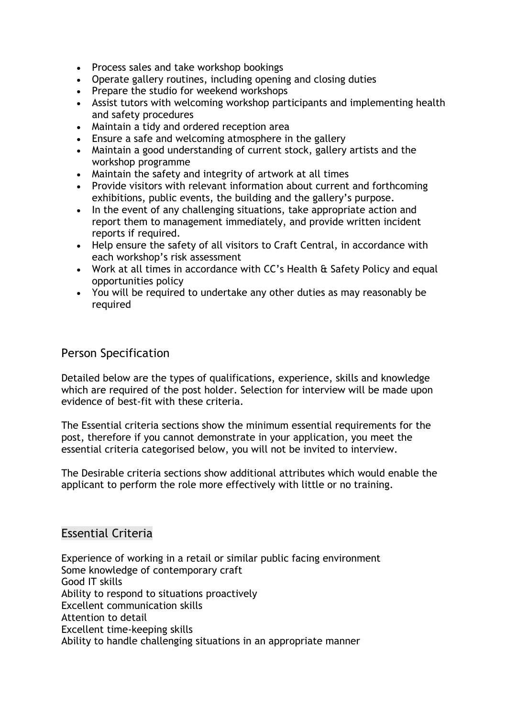- Process sales and take workshop bookings
- Operate gallery routines, including opening and closing duties
- Prepare the studio for weekend workshops
- Assist tutors with welcoming workshop participants and implementing health and safety procedures
- Maintain a tidy and ordered reception area
- Ensure a safe and welcoming atmosphere in the gallery
- Maintain a good understanding of current stock, gallery artists and the workshop programme
- Maintain the safety and integrity of artwork at all times
- Provide visitors with relevant information about current and forthcoming exhibitions, public events, the building and the gallery's purpose.
- In the event of any challenging situations, take appropriate action and report them to management immediately, and provide written incident reports if required.
- Help ensure the safety of all visitors to Craft Central, in accordance with each workshop's risk assessment
- Work at all times in accordance with CC's Health & Safety Policy and equal opportunities policy
- You will be required to undertake any other duties as may reasonably be required

### Person Specification

Detailed below are the types of qualifications, experience, skills and knowledge which are required of the post holder. Selection for interview will be made upon evidence of best-fit with these criteria.

The Essential criteria sections show the minimum essential requirements for the post, therefore if you cannot demonstrate in your application, you meet the essential criteria categorised below, you will not be invited to interview.

The Desirable criteria sections show additional attributes which would enable the applicant to perform the role more effectively with little or no training.

### Essential Criteria

Experience of working in a retail or similar public facing environment Some knowledge of contemporary craft Good IT skills Ability to respond to situations proactively Excellent communication skills Attention to detail Excellent time-keeping skills Ability to handle challenging situations in an appropriate manner